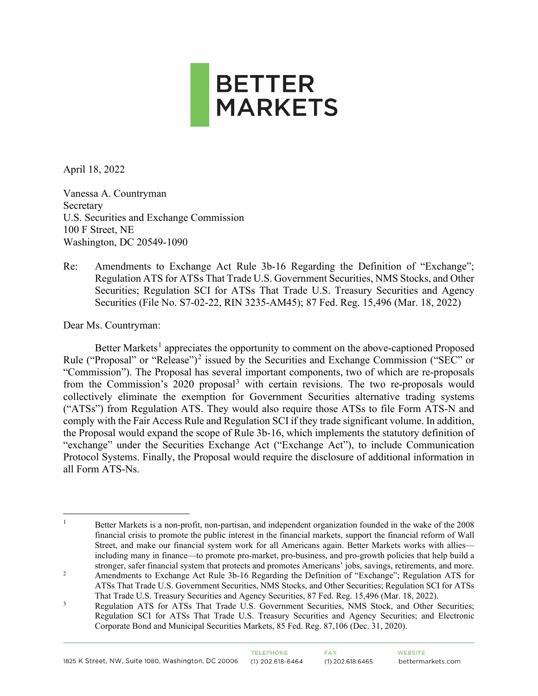

April 18, 2022

Vanessa A. Countryman Secretary U.S. Securities and Exchange Commission 100 F Street, NE Washington, DC 20549-1090

Re: Amendments to Exchange Act Rule 3b-16 Regarding the Definition of "Exchange"; Regulation ATS for ATSs That Trade U.S. Government Securities, NMS Stocks, and Other Securities; Regulation SCI for ATSs That Trade U.S. Treasury Securities and Agency Securities (File No. S7-02-22, RIN 3235-AM45); 87 Fed. Reg. 15,496 (Mar. 18, 2022)

Dear Ms. Countryman:

Better Markets<sup>[1](#page-0-0)</sup> appreciates the opportunity to comment on the above-captioned Proposed Rule ("Proposal" or "Release")<sup>[2](#page-0-1)</sup> issued by the Securities and Exchange Commission ("SEC" or "Commission"). The Proposal has several important components, two of which are re-proposals from the Commission's  $2020$  proposal<sup>[3](#page-0-2)</sup> with certain revisions. The two re-proposals would collectively eliminate the exemption for Government Securities alternative trading systems ("ATSs") from Regulation ATS. They would also require those ATSs to file Form ATS-N and comply with the Fair Access Rule and Regulation SCI if they trade significant volume. In addition, the Proposal would expand the scope of Rule 3b-16, which implements the statutory definition of "exchange" under the Securities Exchange Act ("Exchange Act"), to include Communication Protocol Systems. Finally, the Proposal would require the disclosure of additional information in all Form ATS-Ns.

<span id="page-0-0"></span><sup>&</sup>lt;sup>1</sup> Better Markets is a non-profit, non-partisan, and independent organization founded in the wake of the 2008 financial crisis to promote the public interest in the financial markets, support the financial reform of Wall Street, and make our financial system work for all Americans again. Better Markets works with allies including many in finance—to promote pro-market, pro-business, and pro-growth policies that help build a stronger, safer financial system that protects and promotes Americans' jobs, savings, retirements, and more.

<span id="page-0-1"></span><sup>&</sup>lt;sup>2</sup> Amendments to Exchange Act Rule 3b-16 Regarding the Definition of "Exchange"; Regulation ATS for ATSs That Trade U.S. Government Securities, NMS Stocks, and Other Securities; Regulation SCI for ATSs That Trade U.S. Treasury Securities and Agency Securities, 87 Fed. Reg. 15,496 (Mar. 18, 2022).

<span id="page-0-2"></span><sup>&</sup>lt;sup>3</sup> Regulation ATS for ATSs That Trade U.S. Government Securities, NMS Stock, and Other Securities; Regulation SCI for ATSs That Trade U.S. Treasury Securities and Agency Securities; and Electronic Corporate Bond and Municipal Securities Markets, 85 Fed. Reg. 87,106 (Dec. 31, 2020).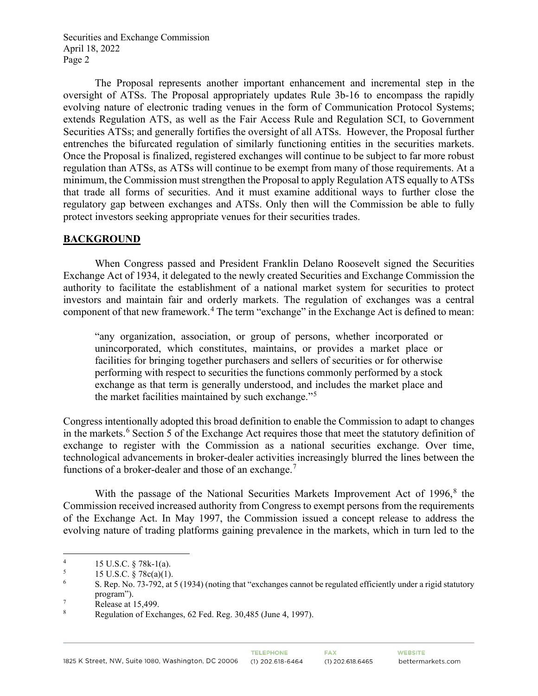The Proposal represents another important enhancement and incremental step in the oversight of ATSs. The Proposal appropriately updates Rule 3b-16 to encompass the rapidly evolving nature of electronic trading venues in the form of Communication Protocol Systems; extends Regulation ATS, as well as the Fair Access Rule and Regulation SCI, to Government Securities ATSs; and generally fortifies the oversight of all ATSs. However, the Proposal further entrenches the bifurcated regulation of similarly functioning entities in the securities markets. Once the Proposal is finalized, registered exchanges will continue to be subject to far more robust regulation than ATSs, as ATSs will continue to be exempt from many of those requirements. At a minimum, the Commission must strengthen the Proposal to apply Regulation ATS equally to ATSs that trade all forms of securities. And it must examine additional ways to further close the regulatory gap between exchanges and ATSs. Only then will the Commission be able to fully protect investors seeking appropriate venues for their securities trades.

# **BACKGROUND**

When Congress passed and President Franklin Delano Roosevelt signed the Securities Exchange Act of 1934, it delegated to the newly created Securities and Exchange Commission the authority to facilitate the establishment of a national market system for securities to protect investors and maintain fair and orderly markets. The regulation of exchanges was a central component of that new framework.<sup>[4](#page-1-0)</sup> The term "exchange" in the Exchange Act is defined to mean:

"any organization, association, or group of persons, whether incorporated or unincorporated, which constitutes, maintains, or provides a market place or facilities for bringing together purchasers and sellers of securities or for otherwise performing with respect to securities the functions commonly performed by a stock exchange as that term is generally understood, and includes the market place and the market facilities maintained by such exchange."[5](#page-1-1)

Congress intentionally adopted this broad definition to enable the Commission to adapt to changes in the markets.<sup>[6](#page-1-2)</sup> Section 5 of the Exchange Act requires those that meet the statutory definition of exchange to register with the Commission as a national securities exchange. Over time, technological advancements in broker-dealer activities increasingly blurred the lines between the functions of a broker-dealer and those of an exchange.<sup>[7](#page-1-3)</sup>

With the passage of the National Securities Markets Improvement Act of 1996, [8](#page-1-4) the Commission received increased authority from Congress to exempt persons from the requirements of the Exchange Act. In May 1997, the Commission issued a concept release to address the evolving nature of trading platforms gaining prevalence in the markets, which in turn led to the

<span id="page-1-0"></span><sup>4</sup> <sup>4</sup> 15 U.S.C. § 78k-1(a).<br><sup>5</sup> 15 U.S.C. § 78 $c$ (a)(1)

<span id="page-1-1"></span> <sup>15</sup> U.S.C. § 78c(a)(1).

<span id="page-1-2"></span><sup>6</sup> S. Rep. No. 73-792, at 5 (1934) (noting that "exchanges cannot be regulated efficiently under a rigid statutory program"). 7

<span id="page-1-3"></span>Release at 15,499.

<span id="page-1-4"></span><sup>8</sup> Regulation of Exchanges, 62 Fed. Reg. 30,485 (June 4, 1997).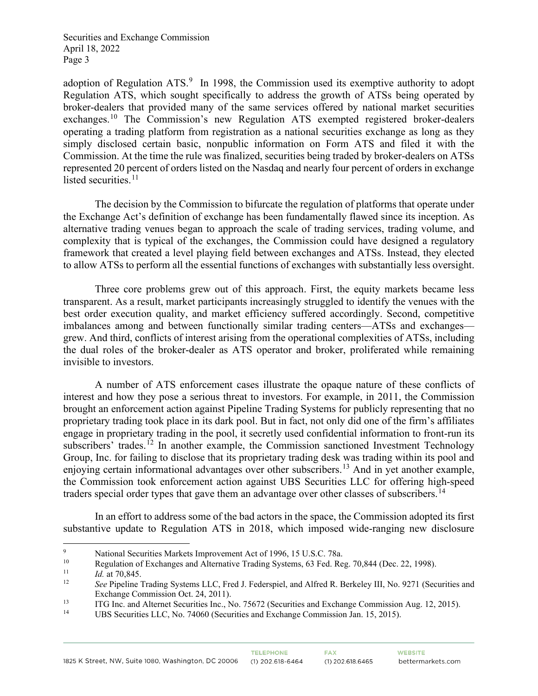adoption of Regulation ATS.<sup>[9](#page-2-0)</sup> In 1998, the Commission used its exemptive authority to adopt Regulation ATS, which sought specifically to address the growth of ATSs being operated by broker-dealers that provided many of the same services offered by national market securities exchanges.<sup>[10](#page-2-1)</sup> The Commission's new Regulation ATS exempted registered broker-dealers operating a trading platform from registration as a national securities exchange as long as they simply disclosed certain basic, nonpublic information on Form ATS and filed it with the Commission. At the time the rule was finalized, securities being traded by broker-dealers on ATSs represented 20 percent of orders listed on the Nasdaq and nearly four percent of orders in exchange listed securities. $11$ 

The decision by the Commission to bifurcate the regulation of platforms that operate under the Exchange Act's definition of exchange has been fundamentally flawed since its inception. As alternative trading venues began to approach the scale of trading services, trading volume, and complexity that is typical of the exchanges, the Commission could have designed a regulatory framework that created a level playing field between exchanges and ATSs. Instead, they elected to allow ATSs to perform all the essential functions of exchanges with substantially less oversight.

Three core problems grew out of this approach. First, the equity markets became less transparent. As a result, market participants increasingly struggled to identify the venues with the best order execution quality, and market efficiency suffered accordingly. Second, competitive imbalances among and between functionally similar trading centers—ATSs and exchanges grew. And third, conflicts of interest arising from the operational complexities of ATSs, including the dual roles of the broker-dealer as ATS operator and broker, proliferated while remaining invisible to investors.

A number of ATS enforcement cases illustrate the opaque nature of these conflicts of interest and how they pose a serious threat to investors. For example, in 2011, the Commission brought an enforcement action against Pipeline Trading Systems for publicly representing that no proprietary trading took place in its dark pool. But in fact, not only did one of the firm's affiliates engage in proprietary trading in the pool, it secretly used confidential information to front-run its subscribers' trades.<sup>[12](#page-2-3)</sup> In another example, the Commission sanctioned Investment Technology Group, Inc. for failing to disclose that its proprietary trading desk was trading within its pool and enjoying certain informational advantages over other subscribers.[13](#page-2-4) And in yet another example, the Commission took enforcement action against UBS Securities LLC for offering high-speed traders special order types that gave them an advantage over other classes of subscribers.<sup>[14](#page-2-5)</sup>

In an effort to address some of the bad actors in the space, the Commission adopted its first substantive update to Regulation ATS in 2018, which imposed wide-ranging new disclosure

<span id="page-2-0"></span><sup>9</sup> National Securities Markets Improvement Act of 1996, 15 U.S.C. 78a.<br>
Reculation of Exchanges and Alternative Trading Systems 63 Eed. Be

<span id="page-2-2"></span><span id="page-2-1"></span><sup>&</sup>lt;sup>10</sup> Regulation of Exchanges and Alternative Trading Systems, 63 Fed. Reg. 70,844 (Dec. 22, 1998).

<sup>&</sup>lt;sup>11</sup> *Id.* at 70,845.

<span id="page-2-3"></span><sup>12</sup> *See* Pipeline Trading Systems LLC, Fred J. Federspiel, and Alfred R. Berkeley III, No. 9271 (Securities and Exchange Commission Oct. 24, 2011).

<span id="page-2-5"></span><span id="page-2-4"></span><sup>13</sup> ITG Inc. and Alternet Securities Inc., No. 75672 (Securities and Exchange Commission Aug. 12, 2015).<br>14 IES Securities LLC No. 74060 (Securities and Exchange Commission Ian 15, 2015).

UBS Securities LLC, No. 74060 (Securities and Exchange Commission Jan. 15, 2015).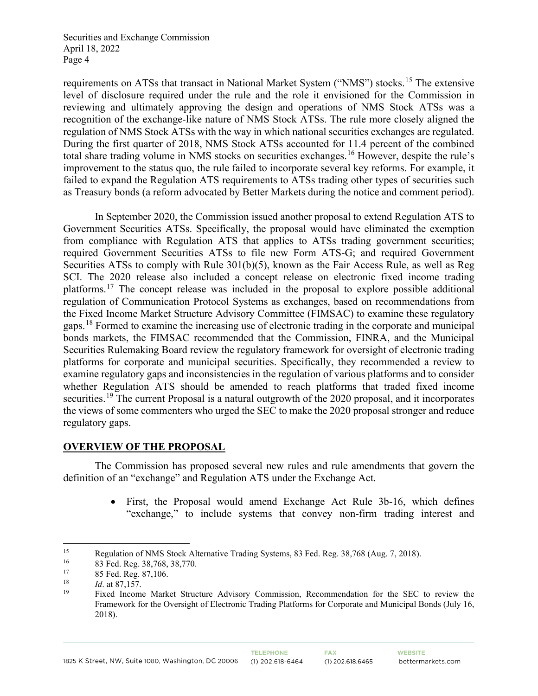requirements on ATSs that transact in National Market System ("NMS") stocks.<sup>[15](#page-3-0)</sup> The extensive level of disclosure required under the rule and the role it envisioned for the Commission in reviewing and ultimately approving the design and operations of NMS Stock ATSs was a recognition of the exchange-like nature of NMS Stock ATSs. The rule more closely aligned the regulation of NMS Stock ATSs with the way in which national securities exchanges are regulated. During the first quarter of 2018, NMS Stock ATSs accounted for 11.4 percent of the combined total share trading volume in NMS stocks on securities exchanges.<sup>[16](#page-3-1)</sup> However, despite the rule's improvement to the status quo, the rule failed to incorporate several key reforms. For example, it failed to expand the Regulation ATS requirements to ATSs trading other types of securities such as Treasury bonds (a reform advocated by Better Markets during the notice and comment period).

In September 2020, the Commission issued another proposal to extend Regulation ATS to Government Securities ATSs. Specifically, the proposal would have eliminated the exemption from compliance with Regulation ATS that applies to ATSs trading government securities; required Government Securities ATSs to file new Form ATS-G; and required Government Securities ATSs to comply with Rule 301(b)(5), known as the Fair Access Rule, as well as Reg SCI. The 2020 release also included a concept release on electronic fixed income trading platforms.[17](#page-3-2) The concept release was included in the proposal to explore possible additional regulation of Communication Protocol Systems as exchanges, based on recommendations from the Fixed Income Market Structure Advisory Committee (FIMSAC) to examine these regulatory gaps.[18](#page-3-3) Formed to examine the increasing use of electronic trading in the corporate and municipal bonds markets, the FIMSAC recommended that the Commission, FINRA, and the Municipal Securities Rulemaking Board review the regulatory framework for oversight of electronic trading platforms for corporate and municipal securities. Specifically, they recommended a review to examine regulatory gaps and inconsistencies in the regulation of various platforms and to consider whether Regulation ATS should be amended to reach platforms that traded fixed income securities.<sup>[19](#page-3-4)</sup> The current Proposal is a natural outgrowth of the 2020 proposal, and it incorporates the views of some commenters who urged the SEC to make the 2020 proposal stronger and reduce regulatory gaps.

# **OVERVIEW OF THE PROPOSAL**

The Commission has proposed several new rules and rule amendments that govern the definition of an "exchange" and Regulation ATS under the Exchange Act.

> • First, the Proposal would amend Exchange Act Rule 3b-16, which defines "exchange," to include systems that convey non-firm trading interest and

<span id="page-3-0"></span><sup>&</sup>lt;sup>15</sup> Regulation of NMS Stock Alternative Trading Systems, 83 Fed. Reg. 38,768 (Aug. 7, 2018).<br><sup>16</sup>  $^{92}$  Eed. Beg. <sup>28,768</sup> 28,770

<sup>83</sup> Fed. Reg. 38,768, 38,770.

<span id="page-3-2"></span><span id="page-3-1"></span><sup>&</sup>lt;sup>17</sup> 85 Fed. Reg. 87,106.<br> $\frac{18}{16}$  at 87,157

<span id="page-3-4"></span><span id="page-3-3"></span> $18$  *Id.* at 87,157.

<sup>19</sup> Fixed Income Market Structure Advisory Commission, Recommendation for the SEC to review the Framework for the Oversight of Electronic Trading Platforms for Corporate and Municipal Bonds (July 16, 2018).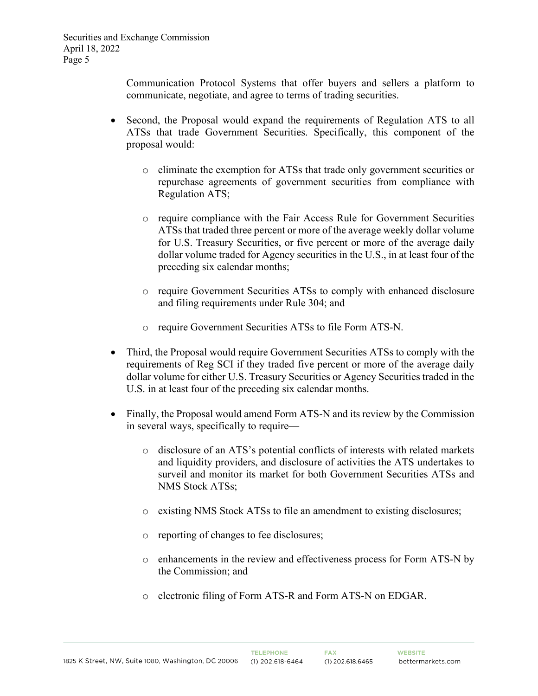Communication Protocol Systems that offer buyers and sellers a platform to communicate, negotiate, and agree to terms of trading securities.

- Second, the Proposal would expand the requirements of Regulation ATS to all ATSs that trade Government Securities. Specifically, this component of the proposal would:
	- o eliminate the exemption for ATSs that trade only government securities or repurchase agreements of government securities from compliance with Regulation ATS;
	- o require compliance with the Fair Access Rule for Government Securities ATSs that traded three percent or more of the average weekly dollar volume for U.S. Treasury Securities, or five percent or more of the average daily dollar volume traded for Agency securities in the U.S., in at least four of the preceding six calendar months;
	- o require Government Securities ATSs to comply with enhanced disclosure and filing requirements under Rule 304; and
	- o require Government Securities ATSs to file Form ATS-N.
- Third, the Proposal would require Government Securities ATSs to comply with the requirements of Reg SCI if they traded five percent or more of the average daily dollar volume for either U.S. Treasury Securities or Agency Securities traded in the U.S. in at least four of the preceding six calendar months.
- Finally, the Proposal would amend Form ATS-N and its review by the Commission in several ways, specifically to require
	- o disclosure of an ATS's potential conflicts of interests with related markets and liquidity providers, and disclosure of activities the ATS undertakes to surveil and monitor its market for both Government Securities ATSs and NMS Stock ATSs;
	- o existing NMS Stock ATSs to file an amendment to existing disclosures;
	- o reporting of changes to fee disclosures;
	- o enhancements in the review and effectiveness process for Form ATS-N by the Commission; and
	- o electronic filing of Form ATS-R and Form ATS-N on EDGAR.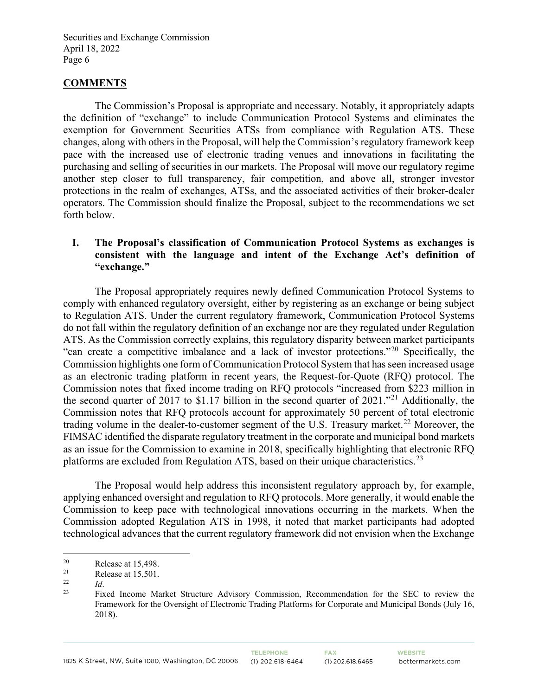#### **COMMENTS**

 The Commission's Proposal is appropriate and necessary. Notably, it appropriately adapts the definition of "exchange" to include Communication Protocol Systems and eliminates the exemption for Government Securities ATSs from compliance with Regulation ATS. These changes, along with others in the Proposal, will help the Commission's regulatory framework keep pace with the increased use of electronic trading venues and innovations in facilitating the purchasing and selling of securities in our markets. The Proposal will move our regulatory regime another step closer to full transparency, fair competition, and above all, stronger investor protections in the realm of exchanges, ATSs, and the associated activities of their broker-dealer operators. The Commission should finalize the Proposal, subject to the recommendations we set forth below.

#### **I. The Proposal's classification of Communication Protocol Systems as exchanges is consistent with the language and intent of the Exchange Act's definition of "exchange."**

The Proposal appropriately requires newly defined Communication Protocol Systems to comply with enhanced regulatory oversight, either by registering as an exchange or being subject to Regulation ATS. Under the current regulatory framework, Communication Protocol Systems do not fall within the regulatory definition of an exchange nor are they regulated under Regulation ATS. As the Commission correctly explains, this regulatory disparity between market participants "can create a competitive imbalance and a lack of investor protections."[20](#page-5-0) Specifically, the Commission highlights one form of Communication Protocol System that has seen increased usage as an electronic trading platform in recent years, the Request-for-Quote (RFQ) protocol. The Commission notes that fixed income trading on RFQ protocols "increased from \$223 million in the second quarter of 2017 to \$1.17 billion in the second quarter of 20[21](#page-5-1)."<sup>21</sup> Additionally, the Commission notes that RFQ protocols account for approximately 50 percent of total electronic trading volume in the dealer-to-customer segment of the U.S. Treasury market.<sup>[22](#page-5-2)</sup> Moreover, the FIMSAC identified the disparate regulatory treatment in the corporate and municipal bond markets as an issue for the Commission to examine in 2018, specifically highlighting that electronic RFQ platforms are excluded from Regulation ATS, based on their unique characteristics.<sup>23</sup>

The Proposal would help address this inconsistent regulatory approach by, for example, applying enhanced oversight and regulation to RFQ protocols. More generally, it would enable the Commission to keep pace with technological innovations occurring in the markets. When the Commission adopted Regulation ATS in 1998, it noted that market participants had adopted technological advances that the current regulatory framework did not envision when the Exchange

<span id="page-5-0"></span><sup>&</sup>lt;sup>20</sup> Release at 15,498.<br> **Pelase at 15.501** 

<span id="page-5-1"></span><sup>&</sup>lt;sup>21</sup> Release at 15,501.<br>
<sup>22</sup> *Id* 

<span id="page-5-3"></span><span id="page-5-2"></span><sup>22</sup>*Id*. 23 Fixed Income Market Structure Advisory Commission, Recommendation for the SEC to review the Framework for the Oversight of Electronic Trading Platforms for Corporate and Municipal Bonds (July 16, 2018).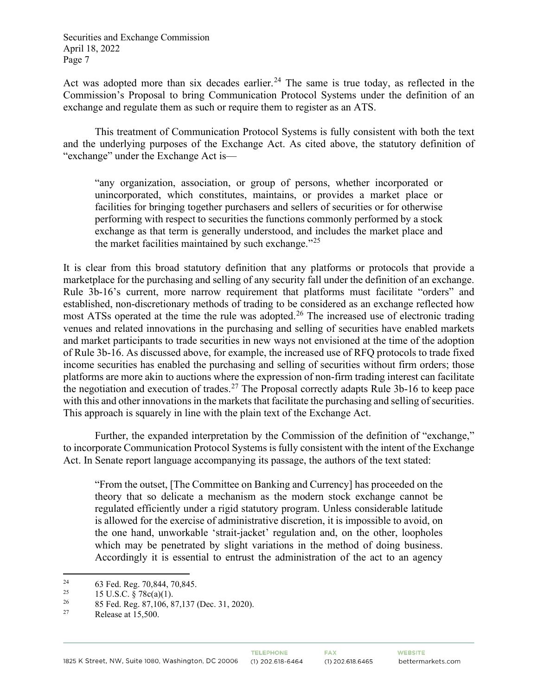Act was adopted more than six decades earlier.<sup>[24](#page-6-0)</sup> The same is true today, as reflected in the Commission's Proposal to bring Communication Protocol Systems under the definition of an exchange and regulate them as such or require them to register as an ATS.

This treatment of Communication Protocol Systems is fully consistent with both the text and the underlying purposes of the Exchange Act. As cited above, the statutory definition of "exchange" under the Exchange Act is—

"any organization, association, or group of persons, whether incorporated or unincorporated, which constitutes, maintains, or provides a market place or facilities for bringing together purchasers and sellers of securities or for otherwise performing with respect to securities the functions commonly performed by a stock exchange as that term is generally understood, and includes the market place and the market facilities maintained by such exchange." $^{25}$  $^{25}$  $^{25}$ 

It is clear from this broad statutory definition that any platforms or protocols that provide a marketplace for the purchasing and selling of any security fall under the definition of an exchange. Rule 3b-16's current, more narrow requirement that platforms must facilitate "orders" and established, non-discretionary methods of trading to be considered as an exchange reflected how most ATSs operated at the time the rule was adopted.<sup>[26](#page-6-2)</sup> The increased use of electronic trading venues and related innovations in the purchasing and selling of securities have enabled markets and market participants to trade securities in new ways not envisioned at the time of the adoption of Rule 3b-16. As discussed above, for example, the increased use of RFQ protocols to trade fixed income securities has enabled the purchasing and selling of securities without firm orders; those platforms are more akin to auctions where the expression of non-firm trading interest can facilitate the negotiation and execution of trades.<sup>[27](#page-6-3)</sup> The Proposal correctly adapts Rule 3b-16 to keep pace with this and other innovations in the markets that facilitate the purchasing and selling of securities. This approach is squarely in line with the plain text of the Exchange Act.

Further, the expanded interpretation by the Commission of the definition of "exchange," to incorporate Communication Protocol Systems is fully consistent with the intent of the Exchange Act. In Senate report language accompanying its passage, the authors of the text stated:

"From the outset, [The Committee on Banking and Currency] has proceeded on the theory that so delicate a mechanism as the modern stock exchange cannot be regulated efficiently under a rigid statutory program. Unless considerable latitude is allowed for the exercise of administrative discretion, it is impossible to avoid, on the one hand, unworkable 'strait-jacket' regulation and, on the other, loopholes which may be penetrated by slight variations in the method of doing business. Accordingly it is essential to entrust the administration of the act to an agency

<span id="page-6-0"></span><sup>&</sup>lt;sup>24</sup> 63 Fed. Reg. 70,844, 70,845.

<span id="page-6-1"></span><sup>&</sup>lt;sup>25</sup> 15 U.S.C. § 78c(a)(1).<br><sup>26</sup> 25 Eed Bag 27,106, 8

<span id="page-6-2"></span><sup>&</sup>lt;sup>26</sup> 85 Fed. Reg. 87,106, 87,137 (Dec. 31, 2020).

<span id="page-6-3"></span>Release at  $15,500$ .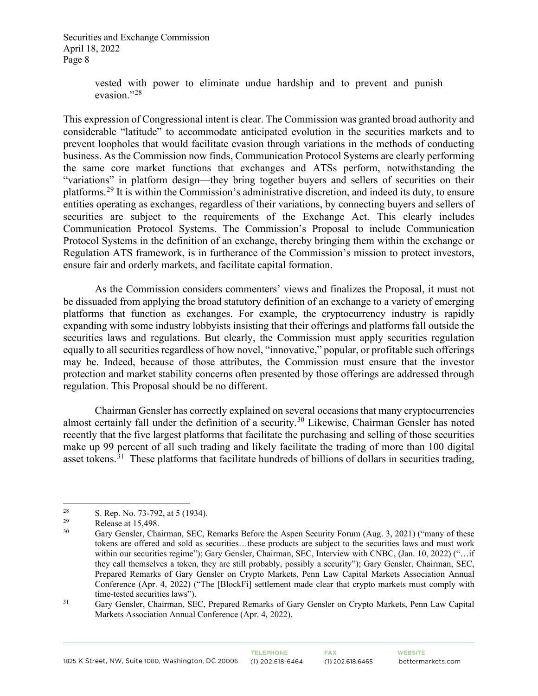> vested with power to eliminate undue hardship and to prevent and punish evasion."<sup>[28](#page-7-0)</sup>

This expression of Congressional intent is clear. The Commission was granted broad authority and considerable "latitude" to accommodate anticipated evolution in the securities markets and to prevent loopholes that would facilitate evasion through variations in the methods of conducting business. As the Commission now finds, Communication Protocol Systems are clearly performing the same core market functions that exchanges and ATSs perform, notwithstanding the "variations" in platform design—they bring together buyers and sellers of securities on their platforms.<sup>[29](#page-7-1)</sup> It is within the Commission's administrative discretion, and indeed its duty, to ensure entities operating as exchanges, regardless of their variations, by connecting buyers and sellers of securities are subject to the requirements of the Exchange Act. This clearly includes Communication Protocol Systems. The Commission's Proposal to include Communication Protocol Systems in the definition of an exchange, thereby bringing them within the exchange or Regulation ATS framework, is in furtherance of the Commission's mission to protect investors, ensure fair and orderly markets, and facilitate capital formation.

As the Commission considers commenters' views and finalizes the Proposal, it must not be dissuaded from applying the broad statutory definition of an exchange to a variety of emerging platforms that function as exchanges. For example, the cryptocurrency industry is rapidly expanding with some industry lobbyists insisting that their offerings and platforms fall outside the securities laws and regulations. But clearly, the Commission must apply securities regulation equally to all securities regardless of how novel, "innovative," popular, or profitable such offerings may be. Indeed, because of those attributes, the Commission must ensure that the investor protection and market stability concerns often presented by those offerings are addressed through regulation. This Proposal should be no different.

Chairman Gensler has correctly explained on several occasions that many cryptocurrencies almost certainly fall under the definition of a security.<sup>[30](#page-7-2)</sup> Likewise, Chairman Gensler has noted recently that the five largest platforms that facilitate the purchasing and selling of those securities make up 99 percent of all such trading and likely facilitate the trading of more than 100 digital asset tokens. $31$  These platforms that facilitate hundreds of billions of dollars in securities trading,

<span id="page-7-0"></span><sup>&</sup>lt;sup>28</sup> S. Rep. No. 73-792, at 5 (1934).<br>
Release at 15 498

<span id="page-7-2"></span><span id="page-7-1"></span> $R$ elease at 15,498.<br>  $29$  Release at 15,498.

Gary Gensler, Chairman, SEC, Remarks Before the Aspen Security Forum (Aug. 3, 2021) ("many of these tokens are offered and sold as securities…these products are subject to the securities laws and must work within our securities regime"); Gary Gensler, Chairman, SEC, Interview with CNBC, (Jan. 10, 2022) ("... if they call themselves a token, they are still probably, possibly a security"); Gary Gensler, Chairman, SEC, Prepared Remarks of Gary Gensler on Crypto Markets, Penn Law Capital Markets Association Annual Conference (Apr. 4, 2022) ("The [BlockFi] settlement made clear that crypto markets must comply with time-tested securities laws").

<span id="page-7-3"></span><sup>&</sup>lt;sup>31</sup> Gary Gensler, Chairman, SEC, Prepared Remarks of Gary Gensler on Crypto Markets, Penn Law Capital Markets Association Annual Conference (Apr. 4, 2022).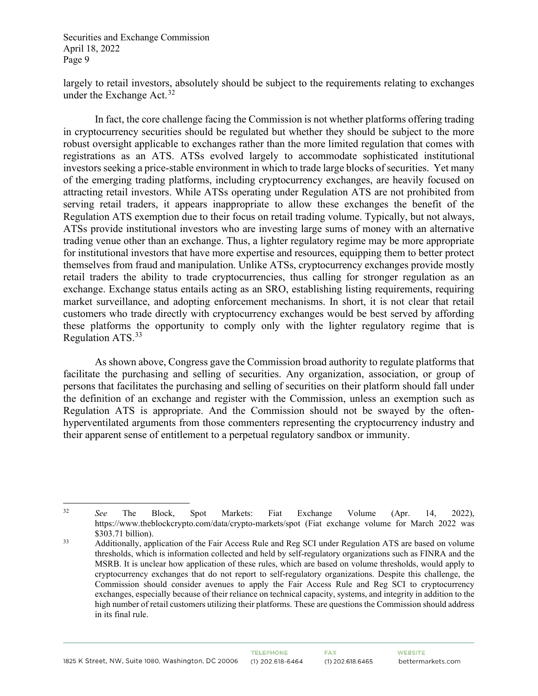largely to retail investors, absolutely should be subject to the requirements relating to exchanges under the Exchange Act.  $32$ 

In fact, the core challenge facing the Commission is not whether platforms offering trading in cryptocurrency securities should be regulated but whether they should be subject to the more robust oversight applicable to exchanges rather than the more limited regulation that comes with registrations as an ATS. ATSs evolved largely to accommodate sophisticated institutional investors seeking a price-stable environment in which to trade large blocks of securities. Yet many of the emerging trading platforms, including cryptocurrency exchanges, are heavily focused on attracting retail investors. While ATSs operating under Regulation ATS are not prohibited from serving retail traders, it appears inappropriate to allow these exchanges the benefit of the Regulation ATS exemption due to their focus on retail trading volume. Typically, but not always, ATSs provide institutional investors who are investing large sums of money with an alternative trading venue other than an exchange. Thus, a lighter regulatory regime may be more appropriate for institutional investors that have more expertise and resources, equipping them to better protect themselves from fraud and manipulation. Unlike ATSs, cryptocurrency exchanges provide mostly retail traders the ability to trade cryptocurrencies, thus calling for stronger regulation as an exchange. Exchange status entails acting as an SRO, establishing listing requirements, requiring market surveillance, and adopting enforcement mechanisms. In short, it is not clear that retail customers who trade directly with cryptocurrency exchanges would be best served by affording these platforms the opportunity to comply only with the lighter regulatory regime that is Regulation ATS.<sup>[33](#page-8-1)</sup>

As shown above, Congress gave the Commission broad authority to regulate platforms that facilitate the purchasing and selling of securities. Any organization, association, or group of persons that facilitates the purchasing and selling of securities on their platform should fall under the definition of an exchange and register with the Commission, unless an exemption such as Regulation ATS is appropriate. And the Commission should not be swayed by the oftenhyperventilated arguments from those commenters representing the cryptocurrency industry and their apparent sense of entitlement to a perpetual regulatory sandbox or immunity.

<span id="page-8-0"></span><sup>32</sup> *See* The Block, Spot Markets: Fiat Exchange Volume (Apr. 14, 2022), https://www.theblockcrypto.com/data/crypto-markets/spot (Fiat exchange volume for March 2022 was \$303.71 billion).

<span id="page-8-1"></span><sup>&</sup>lt;sup>33</sup> Additionally, application of the Fair Access Rule and Reg SCI under Regulation ATS are based on volume thresholds, which is information collected and held by self-regulatory organizations such as FINRA and the MSRB. It is unclear how application of these rules, which are based on volume thresholds, would apply to cryptocurrency exchanges that do not report to self-regulatory organizations. Despite this challenge, the Commission should consider avenues to apply the Fair Access Rule and Reg SCI to cryptocurrency exchanges, especially because of their reliance on technical capacity, systems, and integrity in addition to the high number of retail customers utilizing their platforms. These are questions the Commission should address in its final rule.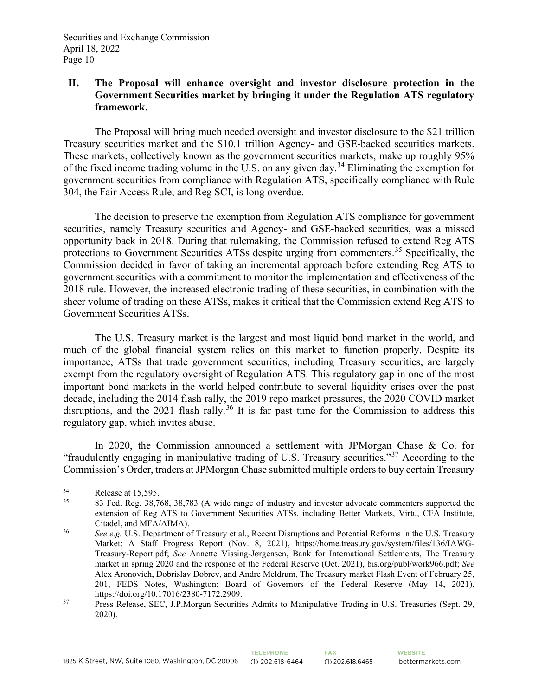# **II. The Proposal will enhance oversight and investor disclosure protection in the Government Securities market by bringing it under the Regulation ATS regulatory framework.**

The Proposal will bring much needed oversight and investor disclosure to the \$21 trillion Treasury securities market and the \$10.1 trillion Agency- and GSE-backed securities markets. These markets, collectively known as the government securities markets, make up roughly 95% of the fixed income trading volume in the U.S. on any given day.[34](#page-9-0) Eliminating the exemption for government securities from compliance with Regulation ATS, specifically compliance with Rule 304, the Fair Access Rule, and Reg SCI, is long overdue.

The decision to preserve the exemption from Regulation ATS compliance for government securities, namely Treasury securities and Agency- and GSE-backed securities, was a missed opportunity back in 2018. During that rulemaking, the Commission refused to extend Reg ATS protections to Government Securities ATSs despite urging from commenters.<sup>[35](#page-9-1)</sup> Specifically, the Commission decided in favor of taking an incremental approach before extending Reg ATS to government securities with a commitment to monitor the implementation and effectiveness of the 2018 rule. However, the increased electronic trading of these securities, in combination with the sheer volume of trading on these ATSs, makes it critical that the Commission extend Reg ATS to Government Securities ATSs.

The U.S. Treasury market is the largest and most liquid bond market in the world, and much of the global financial system relies on this market to function properly. Despite its importance, ATSs that trade government securities, including Treasury securities, are largely exempt from the regulatory oversight of Regulation ATS. This regulatory gap in one of the most important bond markets in the world helped contribute to several liquidity crises over the past decade, including the 2014 flash rally, the 2019 repo market pressures, the 2020 COVID market disruptions, and the 2021 flash rally.<sup>[36](#page-9-2)</sup> It is far past time for the Commission to address this regulatory gap, which invites abuse.

In 2020, the Commission announced a settlement with JPMorgan Chase & Co. for "fraudulently engaging in manipulative trading of U.S. Treasury securities."<sup>[37](#page-9-3)</sup> According to the Commission's Order, traders at JPMorgan Chase submitted multiple orders to buy certain Treasury

<span id="page-9-0"></span> $R$ elease at 15,595.<br>35  $R$  Red Peg 38.7

<span id="page-9-1"></span><sup>35</sup> 83 Fed. Reg. 38,768, 38,783 (A wide range of industry and investor advocate commenters supported the extension of Reg ATS to Government Securities ATSs, including Better Markets, Virtu, CFA Institute, Citadel, and MFA/AIMA).

<span id="page-9-2"></span><sup>&</sup>lt;sup>36</sup> *See e.g.* U.S. Department of Treasury et al., Recent Disruptions and Potential Reforms in the U.S. Treasury Market: A Staff Progress Report (Nov. 8, 2021), https://home.treasury.gov/system/files/136/IAWG-Treasury-Report.pdf; *See* Annette Vissing-Jørgensen, Bank for International Settlements, The Treasury market in spring 2020 and the response of the Federal Reserve (Oct. 2021), bis.org/publ/work966.pdf; *See*  Alex Aronovich, Dobrislav Dobrev, and Andre Meldrum, The Treasury market Flash Event of February 25, 201, FEDS Notes, Washington: Board of Governors of the Federal Reserve (May 14, 2021), https://doi.org/10.17016/2380-7172.2909.

<span id="page-9-3"></span><sup>&</sup>lt;sup>37</sup> Press Release, SEC, J.P.Morgan Securities Admits to Manipulative Trading in U.S. Treasuries (Sept. 29, 2020).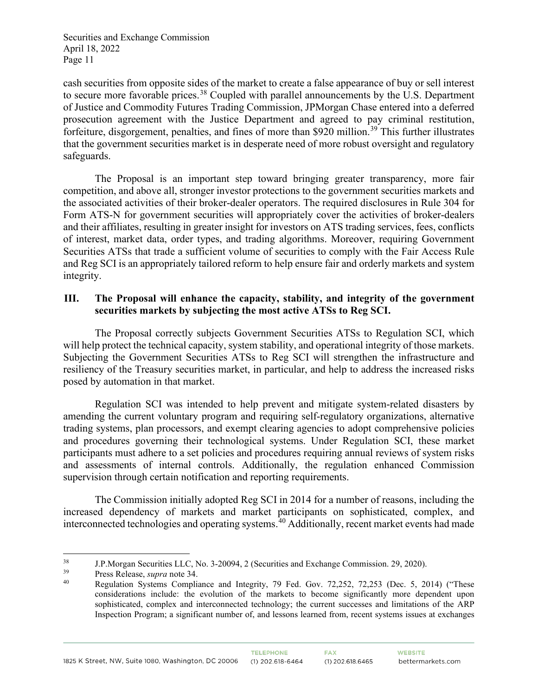cash securities from opposite sides of the market to create a false appearance of buy or sell interest to secure more favorable prices.<sup>[38](#page-10-0)</sup> Coupled with parallel announcements by the U.S. Department of Justice and Commodity Futures Trading Commission, JPMorgan Chase entered into a deferred prosecution agreement with the Justice Department and agreed to pay criminal restitution, forfeiture, disgorgement, penalties, and fines of more than \$920 million.<sup>[39](#page-10-1)</sup> This further illustrates that the government securities market is in desperate need of more robust oversight and regulatory safeguards.

The Proposal is an important step toward bringing greater transparency, more fair competition, and above all, stronger investor protections to the government securities markets and the associated activities of their broker-dealer operators. The required disclosures in Rule 304 for Form ATS-N for government securities will appropriately cover the activities of broker-dealers and their affiliates, resulting in greater insight for investors on ATS trading services, fees, conflicts of interest, market data, order types, and trading algorithms. Moreover, requiring Government Securities ATSs that trade a sufficient volume of securities to comply with the Fair Access Rule and Reg SCI is an appropriately tailored reform to help ensure fair and orderly markets and system integrity.

#### **III. The Proposal will enhance the capacity, stability, and integrity of the government securities markets by subjecting the most active ATSs to Reg SCI.**

The Proposal correctly subjects Government Securities ATSs to Regulation SCI, which will help protect the technical capacity, system stability, and operational integrity of those markets. Subjecting the Government Securities ATSs to Reg SCI will strengthen the infrastructure and resiliency of the Treasury securities market, in particular, and help to address the increased risks posed by automation in that market.

Regulation SCI was intended to help prevent and mitigate system-related disasters by amending the current voluntary program and requiring self-regulatory organizations, alternative trading systems, plan processors, and exempt clearing agencies to adopt comprehensive policies and procedures governing their technological systems. Under Regulation SCI, these market participants must adhere to a set policies and procedures requiring annual reviews of system risks and assessments of internal controls. Additionally, the regulation enhanced Commission supervision through certain notification and reporting requirements.

The Commission initially adopted Reg SCI in 2014 for a number of reasons, including the increased dependency of markets and market participants on sophisticated, complex, and interconnected technologies and operating systems.<sup>[40](#page-10-2)</sup> Additionally, recent market events had made

<span id="page-10-0"></span><sup>38</sup> J.P.Morgan Securities LLC, No. 3-20094, 2 (Securities and Exchange Commission. 29, 2020).

<span id="page-10-2"></span><span id="page-10-1"></span><sup>&</sup>lt;sup>39</sup> Press Release, *supra* note 34.<br><sup>40</sup> Pequation Systems Complis

Regulation Systems Compliance and Integrity, 79 Fed. Gov. 72,252, 72,253 (Dec. 5, 2014) ("These considerations include: the evolution of the markets to become significantly more dependent upon sophisticated, complex and interconnected technology; the current successes and limitations of the ARP Inspection Program; a significant number of, and lessons learned from, recent systems issues at exchanges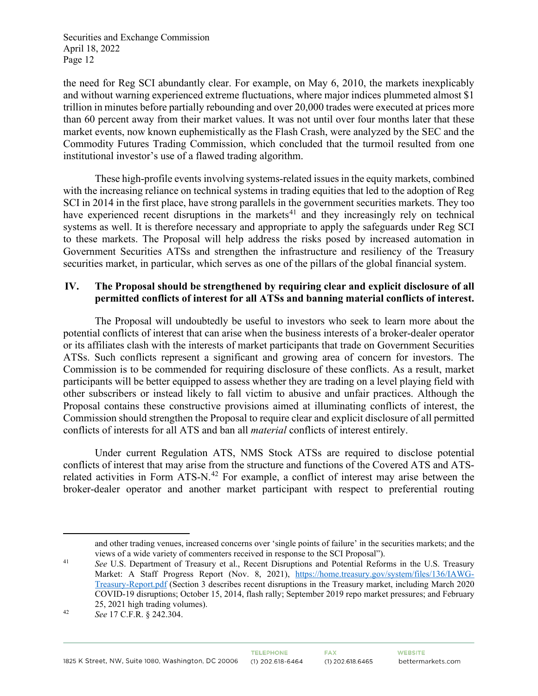the need for Reg SCI abundantly clear. For example, on May 6, 2010, the markets inexplicably and without warning experienced extreme fluctuations, where major indices plummeted almost \$1 trillion in minutes before partially rebounding and over 20,000 trades were executed at prices more than 60 percent away from their market values. It was not until over four months later that these market events, now known euphemistically as the Flash Crash, were analyzed by the SEC and the Commodity Futures Trading Commission, which concluded that the turmoil resulted from one institutional investor's use of a flawed trading algorithm.

These high-profile events involving systems-related issues in the equity markets, combined with the increasing reliance on technical systems in trading equities that led to the adoption of Reg SCI in 2014 in the first place, have strong parallels in the government securities markets. They too have experienced recent disruptions in the markets<sup>41</sup> and they increasingly rely on technical systems as well. It is therefore necessary and appropriate to apply the safeguards under Reg SCI to these markets. The Proposal will help address the risks posed by increased automation in Government Securities ATSs and strengthen the infrastructure and resiliency of the Treasury securities market, in particular, which serves as one of the pillars of the global financial system.

# **IV. The Proposal should be strengthened by requiring clear and explicit disclosure of all permitted conflicts of interest for all ATSs and banning material conflicts of interest.**

The Proposal will undoubtedly be useful to investors who seek to learn more about the potential conflicts of interest that can arise when the business interests of a broker-dealer operator or its affiliates clash with the interests of market participants that trade on Government Securities ATSs. Such conflicts represent a significant and growing area of concern for investors. The Commission is to be commended for requiring disclosure of these conflicts. As a result, market participants will be better equipped to assess whether they are trading on a level playing field with other subscribers or instead likely to fall victim to abusive and unfair practices. Although the Proposal contains these constructive provisions aimed at illuminating conflicts of interest, the Commission should strengthen the Proposal to require clear and explicit disclosure of all permitted conflicts of interests for all ATS and ban all *material* conflicts of interest entirely.

Under current Regulation ATS, NMS Stock ATSs are required to disclose potential conflicts of interest that may arise from the structure and functions of the Covered ATS and ATS-related activities in Form ATS-N.<sup>[42](#page-11-1)</sup> For example, a conflict of interest may arise between the broker-dealer operator and another market participant with respect to preferential routing

and other trading venues, increased concerns over 'single points of failure' in the securities markets; and the views of a wide variety of commenters received in response to the SCI Proposal").

<span id="page-11-0"></span><sup>&</sup>lt;sup>41</sup> *See U.S. Department of Treasury et al., Recent Disruptions and Potential Reforms in the U.S. Treasury* Market: A Staff Progress Report (Nov. 8, 2021), [https://home.treasury.gov/system/files/136/IAWG-](https://home.treasury.gov/system/files/136/IAWG-Treasury-Report.pdf)[Treasury-Report.pdf](https://home.treasury.gov/system/files/136/IAWG-Treasury-Report.pdf) (Section 3 describes recent disruptions in the Treasury market, including March 2020 COVID-19 disruptions; October 15, 2014, flash rally; September 2019 repo market pressures; and February 25, 2021 high trading volumes).

<span id="page-11-1"></span><sup>42</sup> *See* 17 C.F.R. § 242.304.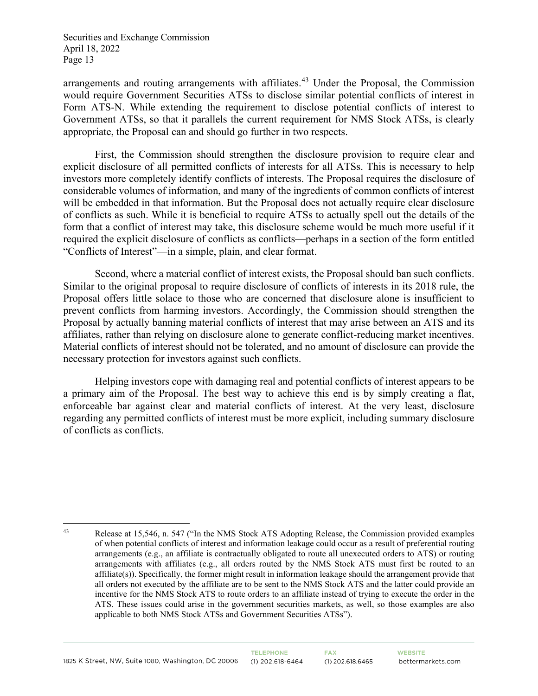arrangements and routing arrangements with affiliates.<sup>[43](#page-12-0)</sup> Under the Proposal, the Commission would require Government Securities ATSs to disclose similar potential conflicts of interest in Form ATS-N. While extending the requirement to disclose potential conflicts of interest to Government ATSs, so that it parallels the current requirement for NMS Stock ATSs, is clearly appropriate, the Proposal can and should go further in two respects.

First, the Commission should strengthen the disclosure provision to require clear and explicit disclosure of all permitted conflicts of interests for all ATSs. This is necessary to help investors more completely identify conflicts of interests. The Proposal requires the disclosure of considerable volumes of information, and many of the ingredients of common conflicts of interest will be embedded in that information. But the Proposal does not actually require clear disclosure of conflicts as such. While it is beneficial to require ATSs to actually spell out the details of the form that a conflict of interest may take, this disclosure scheme would be much more useful if it required the explicit disclosure of conflicts as conflicts—perhaps in a section of the form entitled "Conflicts of Interest"—in a simple, plain, and clear format.

Second, where a material conflict of interest exists, the Proposal should ban such conflicts. Similar to the original proposal to require disclosure of conflicts of interests in its 2018 rule, the Proposal offers little solace to those who are concerned that disclosure alone is insufficient to prevent conflicts from harming investors. Accordingly, the Commission should strengthen the Proposal by actually banning material conflicts of interest that may arise between an ATS and its affiliates, rather than relying on disclosure alone to generate conflict-reducing market incentives. Material conflicts of interest should not be tolerated, and no amount of disclosure can provide the necessary protection for investors against such conflicts.

Helping investors cope with damaging real and potential conflicts of interest appears to be a primary aim of the Proposal. The best way to achieve this end is by simply creating a flat, enforceable bar against clear and material conflicts of interest. At the very least, disclosure regarding any permitted conflicts of interest must be more explicit, including summary disclosure of conflicts as conflicts.

<span id="page-12-0"></span><sup>43</sup> Release at 15,546, n. 547 ("In the NMS Stock ATS Adopting Release, the Commission provided examples of when potential conflicts of interest and information leakage could occur as a result of preferential routing arrangements (e.g., an affiliate is contractually obligated to route all unexecuted orders to ATS) or routing arrangements with affiliates (e.g., all orders routed by the NMS Stock ATS must first be routed to an affiliate(s)). Specifically, the former might result in information leakage should the arrangement provide that all orders not executed by the affiliate are to be sent to the NMS Stock ATS and the latter could provide an incentive for the NMS Stock ATS to route orders to an affiliate instead of trying to execute the order in the ATS. These issues could arise in the government securities markets, as well, so those examples are also applicable to both NMS Stock ATSs and Government Securities ATSs").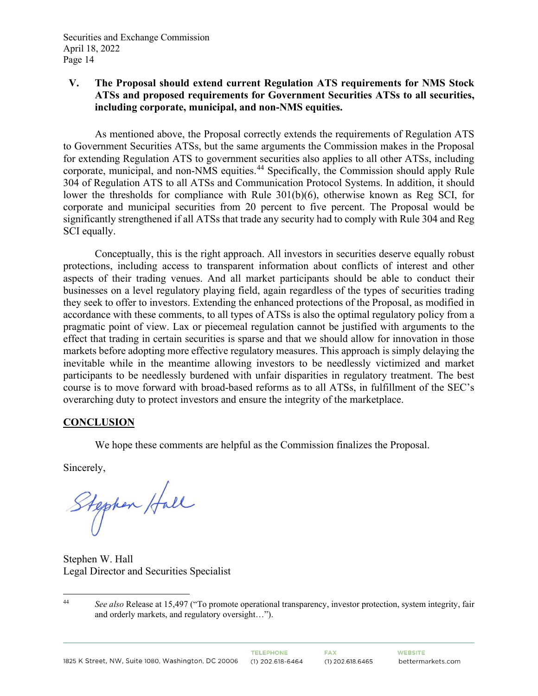# **V. The Proposal should extend current Regulation ATS requirements for NMS Stock ATSs and proposed requirements for Government Securities ATSs to all securities, including corporate, municipal, and non-NMS equities.**

As mentioned above, the Proposal correctly extends the requirements of Regulation ATS to Government Securities ATSs, but the same arguments the Commission makes in the Proposal for extending Regulation ATS to government securities also applies to all other ATSs, including corporate, municipal, and non-NMS equities.[44](#page-13-0) Specifically, the Commission should apply Rule 304 of Regulation ATS to all ATSs and Communication Protocol Systems. In addition, it should lower the thresholds for compliance with Rule 301(b)(6), otherwise known as Reg SCI, for corporate and municipal securities from 20 percent to five percent. The Proposal would be significantly strengthened if all ATSs that trade any security had to comply with Rule 304 and Reg SCI equally.

Conceptually, this is the right approach. All investors in securities deserve equally robust protections, including access to transparent information about conflicts of interest and other aspects of their trading venues. And all market participants should be able to conduct their businesses on a level regulatory playing field, again regardless of the types of securities trading they seek to offer to investors. Extending the enhanced protections of the Proposal, as modified in accordance with these comments, to all types of ATSs is also the optimal regulatory policy from a pragmatic point of view. Lax or piecemeal regulation cannot be justified with arguments to the effect that trading in certain securities is sparse and that we should allow for innovation in those markets before adopting more effective regulatory measures. This approach is simply delaying the inevitable while in the meantime allowing investors to be needlessly victimized and market participants to be needlessly burdened with unfair disparities in regulatory treatment. The best course is to move forward with broad-based reforms as to all ATSs, in fulfillment of the SEC's overarching duty to protect investors and ensure the integrity of the marketplace.

# **CONCLUSION**

We hope these comments are helpful as the Commission finalizes the Proposal.

Sincerely,

Stephen Hall

Stephen W. Hall Legal Director and Securities Specialist

<span id="page-13-0"></span><sup>44</sup> *See also* Release at 15,497 ("To promote operational transparency, investor protection, system integrity, fair and orderly markets, and regulatory oversight…").